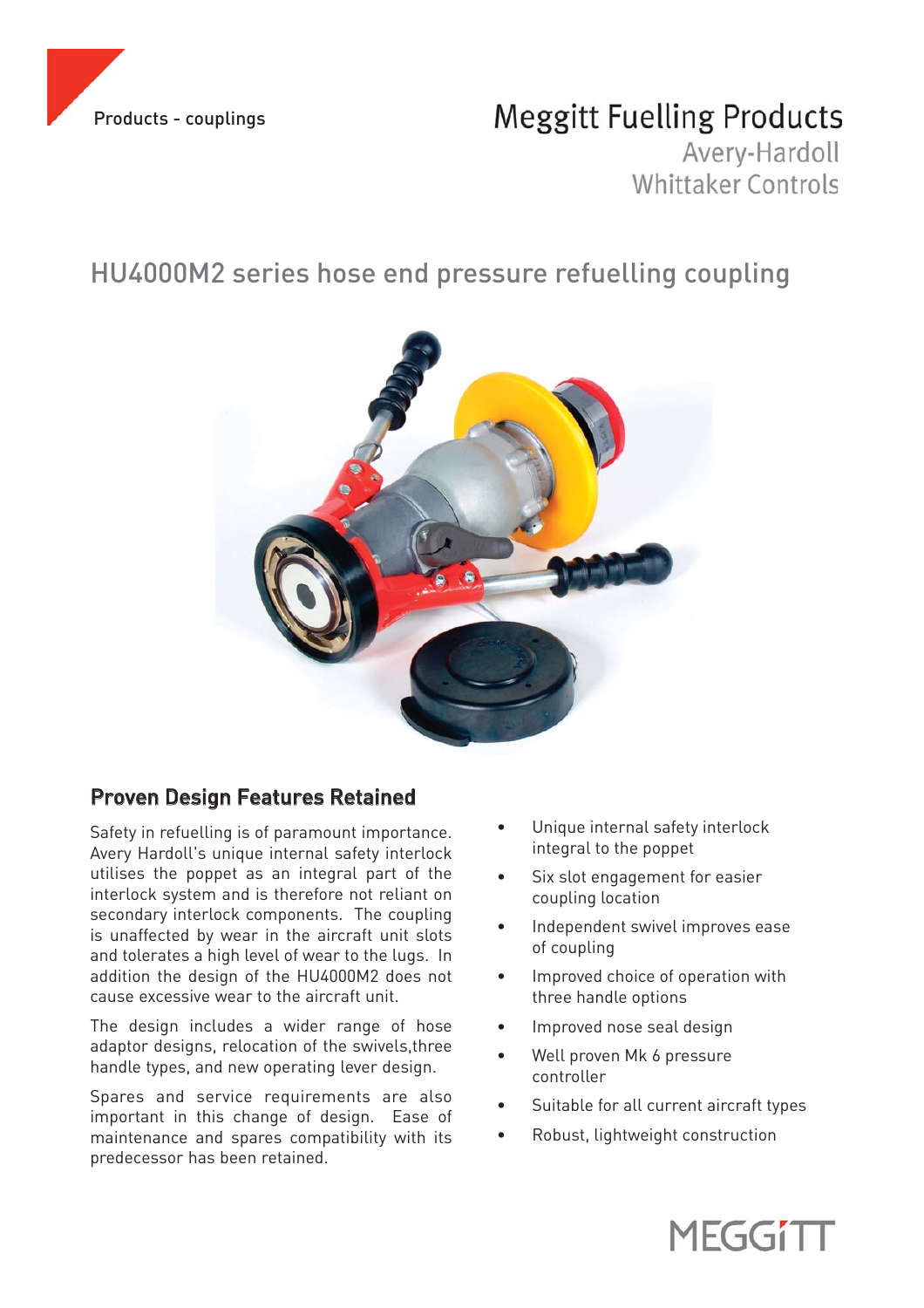

# **Meggitt Fuelling Products**

Avery-Hardoll Whittaker Controls

# HU4000M2 series hose end pressure refuelling coupling



## Proven Design Features Retained

Safety in refuelling is of paramount importance. Avery Hardoll's unique internal safety interlock utilises the poppet as an integral part of the interlock system and is therefore not reliant on secondary interlock components. The coupling is unaffected by wear in the aircraft unit slots and tolerates a high level of wear to the lugs. In addition the design of the HU4000M2 does not cause excessive wear to the aircraft unit.

The design includes a wider range of hose adaptor designs, relocation of the swivels,three handle types, and new operating lever design.

Spares and service requirements are also important in this change of design. Ease of maintenance and spares compatibility with its predecessor has been retained.

- Unique internal safety interlock integral to the poppet
- Six slot engagement for easier coupling location
- Independent swivel improves ease of coupling
- Improved choice of operation with three handle options
- Improved nose seal design
- Well proven Mk 6 pressure controller
- Suitable for all current aircraft types
- Robust, lightweight construction

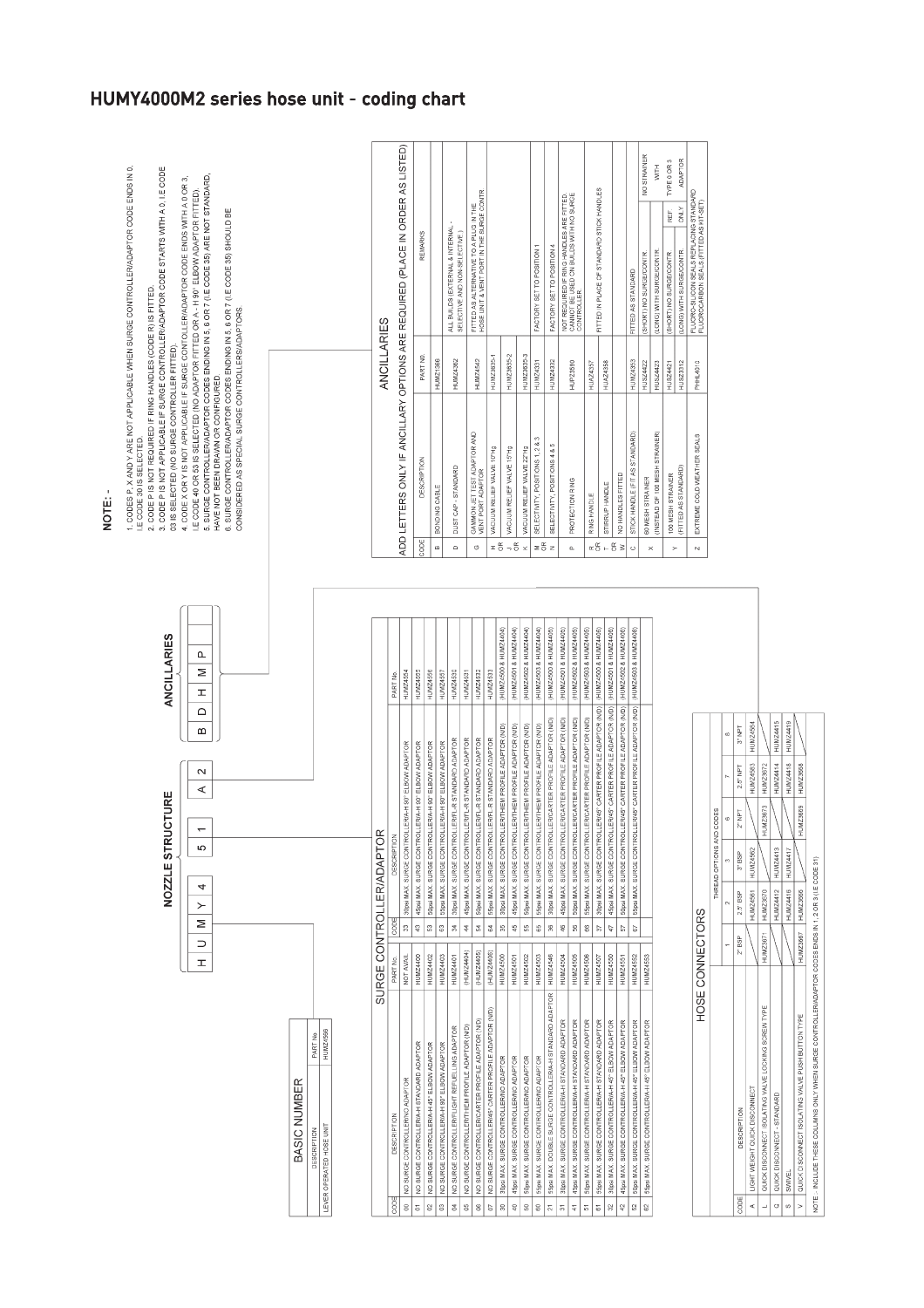|             | NOZZLE STRUCTURE | <b>ANCILLARIES</b>                                                                                                                         | 1. CODES P, X AND Y ARE NOT APPLICABLE WHEN SURGE CONTROLLER/ADAPTOR CODE ENDS IN 0.<br>3. CODE P IS NOT APPLICABLE IF SURGE CONTROLLER/ADAPTOR CODE STARTS WITH A 0, I E CODE<br>2. CODE P IS NOT REQUIRED IF RING HANDLES (CODE R) IS FITTED.<br>03 IS SELECTED (NO SURGE CONTROLLER FITTED).<br>IE CODE 30 IS SELECTED.                                                                                                                        |
|-------------|------------------|--------------------------------------------------------------------------------------------------------------------------------------------|---------------------------------------------------------------------------------------------------------------------------------------------------------------------------------------------------------------------------------------------------------------------------------------------------------------------------------------------------------------------------------------------------------------------------------------------------|
| $\geq$<br>I | $\sim$<br>⋖<br>5 | $\begin{array}{c c c c} \mathsf{P} & \mathsf{M} & \mathsf{P} \\ \hline \mathsf{S} & \mathsf{S} & \mathsf{S} \end{array}$<br>$\overline{a}$ | 5. SURGE CONTROLLER/ADAPTOR CODES ENDING IN 5, 6 OR 7 (I.E CODE 35) ARE NOT STANDARD,<br>4. CODE X OR Y IS NOT APPLICABLE IF SURGE CONTOLLER/ADAPTOR CODE ENDS WITH A 0 OR 3.<br>LE CODE 40 OR 53 IS SELECTED (NO ADAPTOR FITTED OR A - H 90° ELBOW ADAPTOR FITTED).<br>6. SURGE CONTROLLER/ADAPTOR CODES ENDING IN 5, 6 OR 7 (I.E.CODE 35) SHOULD BE<br>CONSIDERED AS SPECIAL SURGE CONTROLLERS/ADAPTORS.<br>HAVE NOT BEEN DRAVIN OR CONFIGURED. |

**IUMZ4566** 

LEVER OPERATED HOSE UNIT

BASIC NUMBER

|                 |                                                          |                 |             | SURGE CONTROLLER/ADAPTOR                                                             |                       |  |
|-----------------|----------------------------------------------------------|-----------------|-------------|--------------------------------------------------------------------------------------|-----------------------|--|
| CODE            | <b>DESCRIPTION</b>                                       | PART No.        | <b>CODE</b> | DESCRIPTION                                                                          | PART No.              |  |
| g               | VO SURGE CONTROLLER/NO ADAPTOR                           | <b>JIWWII</b>   | ę,          | 30psi MAX, SURGE CONTROLLER/A-H 90° ELBOW ADAPTOR                                    | <b>HUMZ4554</b>       |  |
| ă               | NO SURGE CONTROLLERIA-H STANDARD ADAPTOR                 | HUMZ4400        | ę           | 45psi MAX. SURGE CONTROLLER/A-H 90" ELBOW ADAPTOR                                    | HUMZ4555              |  |
| g               | VO SURGE CONTROLLER/A-H 45° ELBOW ADAPTOR                | <b>HUMZ4402</b> | ្ល          | 50psi MAX. SURGE CONTROLLER/A-H 90° ELBOW ADAPTOR                                    | HUMZ4556              |  |
| g               | NO SURGE CONTROLLER/A-H 90° ELBOW ADAPTOR                | HUMZ4403        | 63          | 55psi MAX, SURGE CONTROLLER/A-H 90° ELBOW ADAPTOR                                    | HUMZ4557              |  |
| g               | NO SURGE CONTROLLER/FLIGHT REFUELLING ADAPTOR            | HUMZ4401        | Ź,          | 30psi MAX. SURGE CONTROLLER/FL-R STANDARD ADAPTOR                                    | HUMZ4530              |  |
| S               | NO SURGE CONTROLLER/THIEM PROFILE ADAPTOR (N/D)          | (HUMZ4404)      | 44          | 45psi MAX, SURGE CONTROLLER/FL-R STANDARD ADAPTOR                                    | HUMZ4531              |  |
| g               | NO SURGE CONTROLLER/CARTER PROFILE ADAPTOR (ND)          | (HUMZ4405)      | Ź,          | SOpsi MAX. SURGE CONTROLLER/FL-R STANDARD ADAPTOR                                    | HUMZ4532              |  |
| Ğ               | VO SURGE CONTROLLER/45° CARTER PROFILE ADAPTOR (N/D)     | (HUMZ4406)      | Ź           | 55psi MAX. SURGE CONTROLLER/FL-R STANDARD ADAPTOR                                    | HUMZ4533              |  |
| 8               | 30psi MAX. SURGE CONTROLLER/NO ADAPTOR                   | <b>HUMZ4500</b> | g           | 30psi MAX. SURGE CONTROLLER/THIEM PROFILE ADAPTOR (N/D)                              | (HUMZ4500 & HUMZ4404) |  |
| 9               | 45psi MAX. SURGE CONTROLLER/NO ADAPTOR                   | <b>HUMZ4501</b> | 45          | 45psi MAX, SURGE CONTROLLER/THIEM PROFILE ADAPTOR (N/D)                              | (HUMZ4501 & HUMZ4404) |  |
| $\overline{50}$ | 50psi MAX. SURGE CONTROLLER/NO ADAPTOR                   | <b>HUMZ4502</b> | s.          | SOpsi MAX, SURGE CONTROLLERITHIEM PROFILE ADAPTOR (N/D)                              | (HUMZ4502 & HUMZ4404) |  |
| 8               | 55psi MAX. SURGE CONTROLLER/NO ADAPTOR                   | <b>HUMZ4503</b> | 8           | 55psi MAX. SURGE CONTROLLER/THIEM PROFILE ADAPTOR (N/D)                              | (HUMZ4503 & HUMZ4404) |  |
| $\overline{21}$ | 55psi MAX. DOUBLE SURGE CONTROLLER/A-HI STANDARD ADAPTOR | HUMZ4546        | g           | 30psi MAX. SURGE CONTROLLER/CARTER PROFILE ADAPTOR (N/D)                             | (HUMZ4500 & HUMZ4405) |  |
| 51              | 30psi MAX. SURGE CONTROLLER/A-H STANDARD ADAPTOR         | <b>HUMZ4504</b> | ģ           | 45psi MAX. SURGE CONTROLLER/CARTER PROFILE ADAPTOR (ND)                              | (HUMZ4501 & HUMZ4405) |  |
| 41              | 45psi MAX. SURGE CONTROLLERIA-H STANDARD ADAPTOR         | <b>HUMZ4505</b> | g.          | 50psi MAX. SURGE CONTROLLER/CARTER PROFILE ADAPTOR (N/D)                             | (HUMZ4502 & HUMZ4405) |  |
| 5               | 50psi MAX. SURGE CONTROLLER/A-H STANDARD ADAPTOR         | <b>HUMZ4506</b> | g           | 55psi MAX, SURGE CONTROLLER/CARTER PROFILE ADAPTOR (ND)                              | (HUMZ4503 & HUMZ4405) |  |
| 5               | 55psi MAX. SURGE CONTROLLER/A-H STANDARD ADAPTOR         | HUMZ4507        | b,          | 30psi MAX, SURGE CONTROLLER/45° CARTER PROFILE ADAPTOR (N/D)                         | (HUMZ4500 & HUMZ4406) |  |
| 32              | 30psi MAX. SURGE CONTROLLER/A-H 45° ELBOW ADAPTOR        | HUMZ4550        | 47          | 45psi MAX. SURGE CONTROLLER/45° CARTER PROFILE ADAPTOR (N/D)   (HUMZ4501 & HUMZ4408) |                       |  |
| 42              | 45psi MAX. SURGE CONTROLLER/A-H 45° ELBOW ADAPTOR        | <b>HUMZ4551</b> | b.          | 50psi MAX. SURGE CONTROLLER/45° CARTER PROFILE ADAPTOR (N/D)                         | (HUMZ4502 & HUMZ4406) |  |
| $\frac{2}{3}$   | 50psi MAX. SURGE CONTROLLERA-H 45° ELBOW ADAPTOR         | HUMZ4552        | 67          | 55psi MAX. SURGE CONTROLLER45° CARTER PROFILE ADAPTOR (N/D)   (HUMZ4503 & HUMZ4406)  |                       |  |
| 3               | 55psi MAX. SURGE CONTROLLER/A-H 45° ELBOW ADAPTOR        | HUMZ4553        |             |                                                                                      |                       |  |
|                 |                                                          |                 |             |                                                                                      |                       |  |

|             | HOSE CONNECTORS                                                                                        |                 |                   |                          |           |                 |                 |  |
|-------------|--------------------------------------------------------------------------------------------------------|-----------------|-------------------|--------------------------|-----------|-----------------|-----------------|--|
|             |                                                                                                        |                 |                   | THREAD OPTIONS AND CODES |           |                 |                 |  |
|             |                                                                                                        |                 |                   |                          |           |                 |                 |  |
| <b>CODE</b> | DESCRIPTION                                                                                            | $2^{\circ}$ BSP | $2.5^{\circ}$ BSP | $3^{\circ}$ BSP          | $2^n$ NPT | 2.5" NPT        | Jak<br>19       |  |
|             | A   LIGHT WEIGHT QUICK DISCONNECT                                                                      |                 | <b>HUMZ4561</b>   | HUMZ4562                 |           | HUMZ4563        | HUMZ4564        |  |
|             | QUICK DISCONNECT ISOLATING VALVE LOCKING SCREW TYPE                                                    | <b>HUMZ3671</b> | <b>HUMZ3670</b>   |                          | HUMZ3673  | <b>HUMZ3672</b> |                 |  |
| $\circ$     | QUICK DISCONNECT - STANDARD                                                                            |                 | <b>HUMZ4412</b>   | <b>HUMZ4413</b>          |           | <b>HUMZ4414</b> | <b>HUMZ4415</b> |  |
| Ø           | SWIVEL                                                                                                 |                 | HUMZ4416          | HUMZ4417                 |           | HUMZ4418        | HUMZ4419        |  |
|             | V   QUICK DISCONNECT ISOLATING VALVE PUSH BUTTON TYPE                                                  | HUMZ3667        | HUMZ3666          |                          | HUMZ3669  | HUMZ3658        |                 |  |
|             | NOTE :- INCLUDE THESE COLUMNS ONLY WHEN SURGE CONTROLLER/ADAPTOR CODES ENDS IN 1, 2 OR 3 (I.E.CODE 31) |                 |                   |                          |           |                 |                 |  |
|             |                                                                                                        |                 |                   |                          |           |                 |                 |  |

|                                   |                                                                               | ANCILLARIES     |                                                                                                   |                |
|-----------------------------------|-------------------------------------------------------------------------------|-----------------|---------------------------------------------------------------------------------------------------|----------------|
|                                   | ADD LETTERS ONLY IF ANCILLARY OPTIONS ARE REQUIRED (PLACE IN ORDER AS LISTED) |                 |                                                                                                   |                |
| <b>CODE</b>                       | <b>DESCRIPTION</b>                                                            | PART NO.        | <b>REMARKS</b>                                                                                    |                |
| œ                                 | BONDING CABLE                                                                 | HUMZ1366        |                                                                                                   |                |
| ۵                                 | DUST CAP - STANDARD                                                           | <b>1UMZ4362</b> | ALL BUILDS (EXTERNAL & INTERNAL<br>SELECTIVE AND NON-SELECTIVE.)                                  |                |
| Ö                                 | GAMMON JET TEST ADAPTOR AND<br>VENT PORT ADAPTOR                              | HUMZ4542        | HOSE UNIT & VENT PORT IN THE SURGE CONTR<br>FITTED AS ALTERNATIVE TO A PLUG IN THE                |                |
| Ξg                                | VACUUM RELIEF VALVE 10"Hg                                                     | HUMZ3635-1      |                                                                                                   |                |
| 6Ř                                | VACUUM RELIEF VALVE 15"Hg                                                     | HUMZ3635-2      |                                                                                                   |                |
| $\overline{\mathbf{x}}$           | VACUUM RELIEF VALVE 22"Hg                                                     | HUMZ3635-3      |                                                                                                   |                |
| ΞĚ                                | c<br>SELECTIVITY, POSITIONS 1, 2 &                                            | HUMZ4331        | FACTORY SET TO POSITION 1                                                                         |                |
| z                                 | SELECTIVITY, POSITIONS 4 & 5                                                  | HUMZ4332        | FACTORY SET TO POSITION 4                                                                         |                |
| $\alpha$                          | PROTECTION RING                                                               | HUPZ3580        | CANNOT BE USED ON BUILDS WITH NO SURCE<br>NOT REQUIRED IF RING HANDLES ARE FITTED.<br>CONTROLLER. |                |
| œβ                                | RING HANDLE                                                                   | <b>HUAZ4357</b> |                                                                                                   |                |
|                                   | STIRRUP HANDLE                                                                | HUAZ4358        | FITTED IN PLACE OF STANDARD STICK HANDLES                                                         |                |
| $\frac{\alpha}{\alpha}$<br>$\geq$ | NO HANDLES FITTED                                                             |                 |                                                                                                   |                |
| Ō                                 | STICK HANDLE (FIT AS STANDARD)                                                | HUMZ4353        | FITTED AS STANDARD                                                                                |                |
| ×                                 | 60 MESH STRAINER                                                              | <b>HUSZ4422</b> | SHORT) NO SURGE/CONTR.                                                                            | NO STRAINER    |
|                                   | (INSTEAD OF 100 MESH STRAINER)                                                | HUSZ4423        | (LONG) WITH SURGE/CONTR                                                                           | <b>HIM</b>     |
| $\succ$                           | 100 MESH STRAINER                                                             | HUSZ4421        | REF.<br>SHORT) NO SURGE/CONTR.                                                                    | TYPE 0 OR 3    |
|                                   | FITTED AS STANDARD)                                                           | HUSZ3312        | <b>ONLY</b><br>(LONG) WITH SURGE/CONTR.                                                           | <b>ADAPTOR</b> |
| N                                 | EXTREME COLD WEATHER SEALS                                                    | PHHL4010        | FLUORO-SILICON SEALS REPLACING STANDARD<br>FLUOROCARBON SEALS (FITTED AS KIT-SET)                 |                |

### HUMY4000M2 series hose unit - coding chart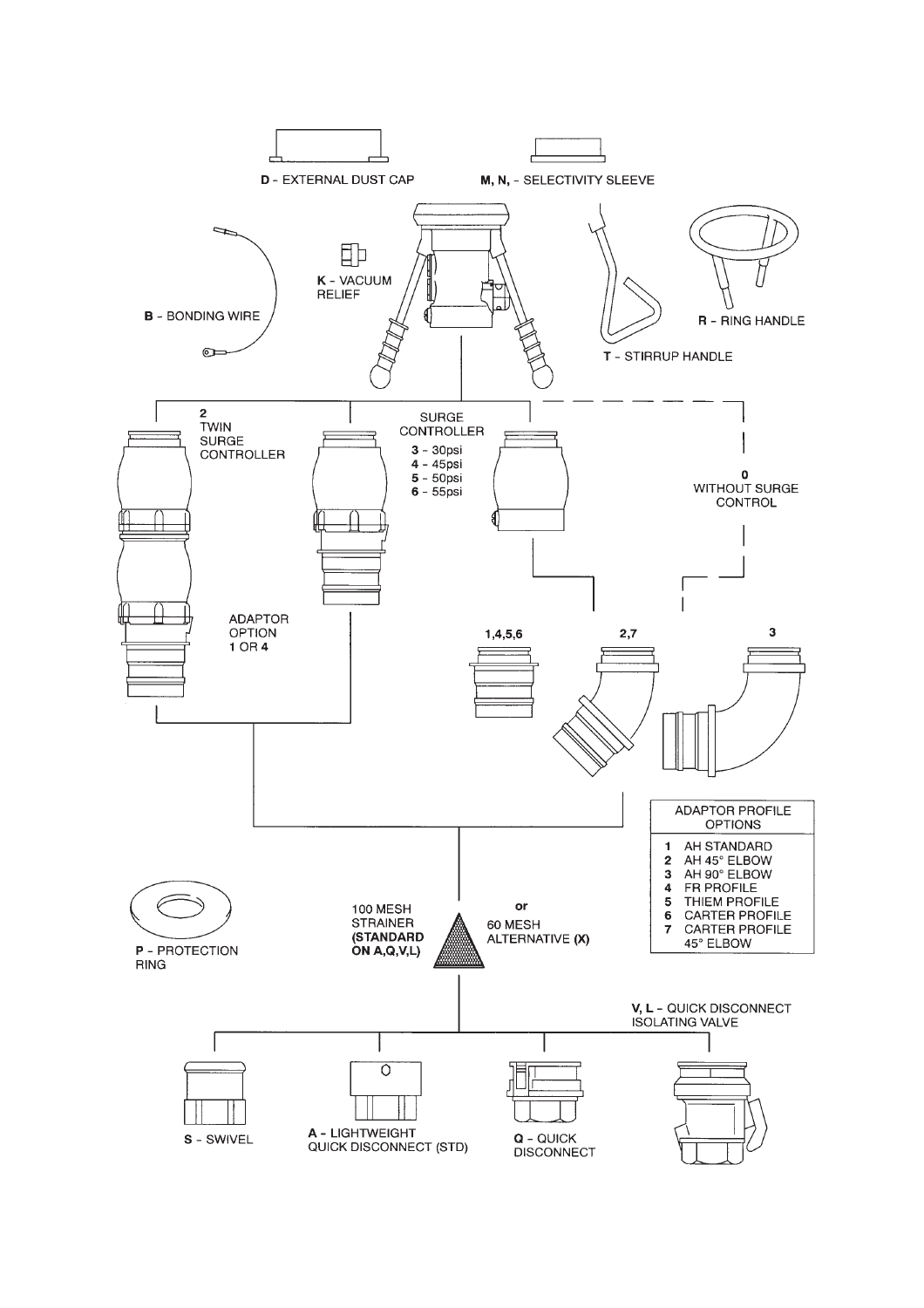